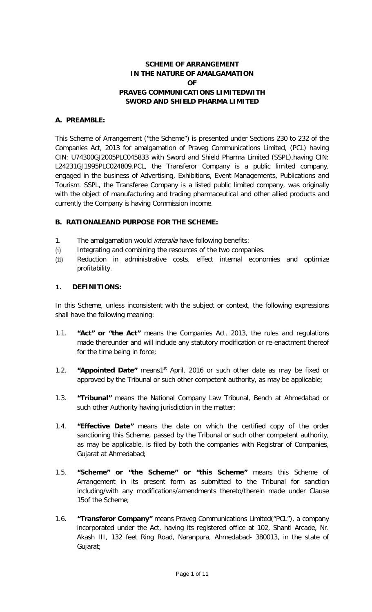# **SCHEME OF ARRANGEMENT IN THE NATURE OF AMALGAMATION OF PRAVEG COMMUNICATIONS LIMITEDWITH SWORD AND SHIELD PHARMA LIMITED**

#### **A. PREAMBLE:**

This Scheme of Arrangement ("the Scheme") is presented under Sections 230 to 232 of the Companies Act, 2013 for amalgamation of Praveg Communications Limited, (PCL) having CIN: U74300GJ2005PLC045833 with Sword and Shield Pharma Limited (SSPL),having CIN: L24231GJ1995PLC024809.PCL, the Transferor Company is a public limited company, engaged in the business of Advertising, Exhibitions, Event Managements, Publications and Tourism. SSPL, the Transferee Company is a listed public limited company, was originally with the object of manufacturing and trading pharmaceutical and other allied products and currently the Company is having Commission income.

#### **B. RATIONALEAND PURPOSE FOR THE SCHEME:**

- 1. The amalgamation would *interalia* have following benefits:
- (i) Integrating and combining the resources of the two companies.
- (ii) Reduction in administrative costs, effect internal economies and optimize profitability.

#### **1. DEFINITIONS:**

In this Scheme, unless inconsistent with the subject or context, the following expressions shall have the following meaning:

- 1.1. **"Act" or "the Act"** means the Companies Act, 2013, the rules and regulations made thereunder and will include any statutory modification or re-enactment thereof for the time being in force;
- 1.2. **"Appointed Date"** means1st April, 2016 or such other date as may be fixed or approved by the Tribunal or such other competent authority, as may be applicable;
- 1.3. **"Tribunal"** means the National Company Law Tribunal, Bench at Ahmedabad or such other Authority having jurisdiction in the matter;
- 1.4. **"Effective Date"** means the date on which the certified copy of the order sanctioning this Scheme, passed by the Tribunal or such other competent authority, as may be applicable, is filed by both the companies with Registrar of Companies, Gujarat at Ahmedabad;
- 1.5. **"Scheme" or "the Scheme" or "this Scheme"** means this Scheme of Arrangement in its present form as submitted to the Tribunal for sanction including/with any modifications/amendments thereto/therein made under Clause 15of the Scheme;
- 1.6. **"Transferor Company"** means Praveg Communications Limited("PCL"), a company incorporated under the Act, having its registered office at 102, Shanti Arcade, Nr. Akash III, 132 feet Ring Road, Naranpura, Ahmedabad- 380013, in the state of Gujarat;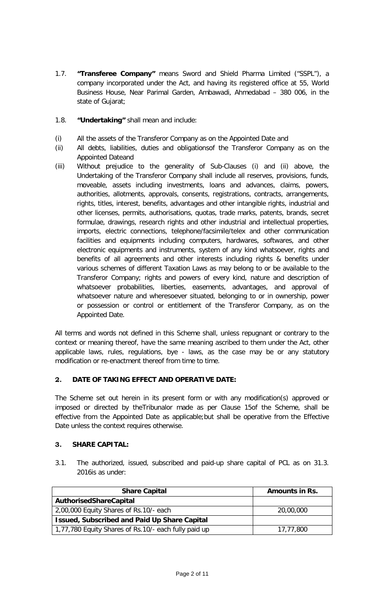- 1.7. **"Transferee Company"** means Sword and Shield Pharma Limited ("SSPL"), a company incorporated under the Act, and having its registered office at 55, World Business House, Near Parimal Garden, Ambawadi, Ahmedabad – 380 006, in the state of Gujarat;
- 1.8. **"Undertaking"** shall mean and include:
- (i) All the assets of the Transferor Company as on the Appointed Date and
- (ii) All debts, liabilities, duties and obligationsof the Transferor Company as on the Appointed Dateand
- (iii) Without prejudice to the generality of Sub-Clauses (i) and (ii) above, the Undertaking of the Transferor Company shall include all reserves, provisions, funds, moveable, assets including investments, loans and advances, claims, powers, authorities, allotments, approvals, consents, registrations, contracts, arrangements, rights, titles, interest, benefits, advantages and other intangible rights, industrial and other licenses, permits, authorisations, quotas, trade marks, patents, brands, secret formulae, drawings, research rights and other industrial and intellectual properties, imports, electric connections, telephone/facsimile/telex and other communication facilities and equipments including computers, hardwares, softwares, and other electronic equipments and instruments, system of any kind whatsoever, rights and benefits of all agreements and other interests including rights & benefits under various schemes of different Taxation Laws as may belong to or be available to the Transferor Company; rights and powers of every kind, nature and description of whatsoever probabilities, liberties, easements, advantages, and approval of whatsoever nature and wheresoever situated, belonging to or in ownership, power or possession or control or entitlement of the Transferor Company, as on the Appointed Date.

All terms and words not defined in this Scheme shall, unless repugnant or contrary to the context or meaning thereof, have the same meaning ascribed to them under the Act, other applicable laws, rules, regulations, bye - laws, as the case may be or any statutory modification or re-enactment thereof from time to time.

# **2. DATE OF TAKING EFFECT AND OPERATIVE DATE:**

The Scheme set out herein in its present form or with any modification(s) approved or imposed or directed by theTribunalor made as per Clause 15of the Scheme, shall be effective from the Appointed Date as applicable;but shall be operative from the Effective Date unless the context requires otherwise.

# **3. SHARE CAPITAL:**

3.1. The authorized, issued, subscribed and paid-up share capital of PCL as on 31.3. 2016is as under:

| <b>Share Capital</b>                                 | <b>Amounts in Rs.</b> |
|------------------------------------------------------|-----------------------|
| AuthorisedShareCapital                               |                       |
| 2,00,000 Equity Shares of Rs.10/- each               | 20,00,000             |
| <b>Issued, Subscribed and Paid Up Share Capital</b>  |                       |
| 1,77,780 Equity Shares of Rs.10/- each fully paid up | 17,77,800             |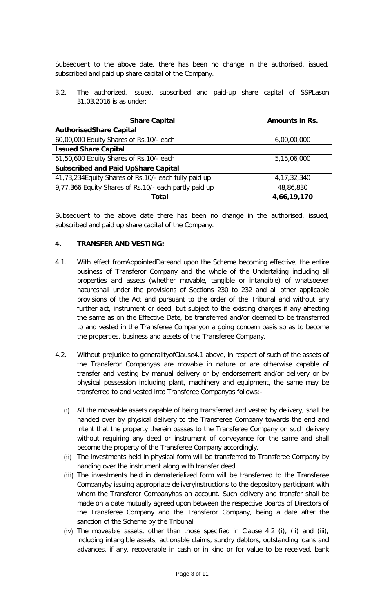Subsequent to the above date, there has been no change in the authorised, issued, subscribed and paid up share capital of the Company.

3.2. The authorized, issued, subscribed and paid-up share capital of SSPLason 31.03.2016 is as under:

| <b>Share Capital</b>                                  | <b>Amounts in Rs.</b> |
|-------------------------------------------------------|-----------------------|
| <b>AuthorisedShare Capital</b>                        |                       |
| 60,00,000 Equity Shares of Rs.10/- each               | 6,00,00,000           |
| <b>Issued Share Capital</b>                           |                       |
| 51,50,600 Equity Shares of Rs.10/- each               | 5,15,06,000           |
| <b>Subscribed and Paid UpShare Capital</b>            |                       |
| 41,73,234 Equity Shares of Rs.10/- each fully paid up | 4, 17, 32, 340        |
| 9,77,366 Equity Shares of Rs.10/- each partly paid up | 48,86,830             |
| Total                                                 | 4,66,19,170           |

Subsequent to the above date there has been no change in the authorised, issued, subscribed and paid up share capital of the Company.

# **4. TRANSFER AND VESTING:**

- 4.1. With effect fromAppointedDateand upon the Scheme becoming effective, the entire business of Transferor Company and the whole of the Undertaking including all properties and assets (whether movable, tangible or intangible) of whatsoever natureshall under the provisions of Sections 230 to 232 and all other applicable provisions of the Act and pursuant to the order of the Tribunal and without any further act, instrument or deed, but subject to the existing charges if any affecting the same as on the Effective Date, be transferred and/or deemed to be transferred to and vested in the Transferee Companyon a going concern basis so as to become the properties, business and assets of the Transferee Company.
- 4.2. Without prejudice to generalityofClause4.1 above, in respect of such of the assets of the Transferor Companyas are movable in nature or are otherwise capable of transfer and vesting by manual delivery or by endorsement and/or delivery or by physical possession including plant, machinery and equipment, the same may be transferred to and vested into Transferee Companyas follows:-
	- (i) All the moveable assets capable of being transferred and vested by delivery, shall be handed over by physical delivery to the Transferee Company towards the end and intent that the property therein passes to the Transferee Company on such delivery without requiring any deed or instrument of conveyance for the same and shall become the property of the Transferee Company accordingly.
	- (ii) The investments held in physical form will be transferred to Transferee Company by handing over the instrument along with transfer deed.
	- (iii) The investments held in dematerialized form will be transferred to the Transferee Companyby issuing appropriate deliveryinstructions to the depository participant with whom the Transferor Companyhas an account. Such delivery and transfer shall be made on a date mutually agreed upon between the respective Boards of Directors of the Transferee Company and the Transferor Company, being a date after the sanction of the Scheme by the Tribunal.
	- (iv) The moveable assets, other than those specified in Clause 4.2 (i), (ii) and (iii), including intangible assets, actionable claims, sundry debtors, outstanding loans and advances, if any, recoverable in cash or in kind or for value to be received, bank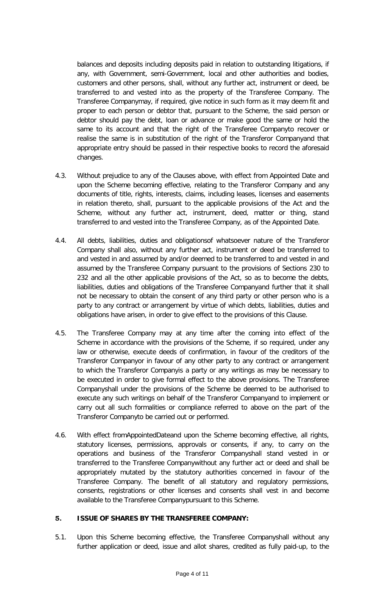balances and deposits including deposits paid in relation to outstanding litigations, if any, with Government, semi-Government, local and other authorities and bodies, customers and other persons, shall, without any further act, instrument or deed, be transferred to and vested into as the property of the Transferee Company. The Transferee Companymay, if required, give notice in such form as it may deem fit and proper to each person or debtor that, pursuant to the Scheme, the said person or debtor should pay the debt, loan or advance or make good the same or hold the same to its account and that the right of the Transferee Companyto recover or realise the same is in substitution of the right of the Transferor Companyand that appropriate entry should be passed in their respective books to record the aforesaid changes.

- 4.3. Without prejudice to any of the Clauses above, with effect from Appointed Date and upon the Scheme becoming effective, relating to the Transferor Company and any documents of title, rights, interests, claims, including leases, licenses and easements in relation thereto, shall, pursuant to the applicable provisions of the Act and the Scheme, without any further act, instrument, deed, matter or thing, stand transferred to and vested into the Transferee Company, as of the Appointed Date.
- 4.4. All debts, liabilities, duties and obligationsof whatsoever nature of the Transferor Company shall also, without any further act, instrument or deed be transferred to and vested in and assumed by and/or deemed to be transferred to and vested in and assumed by the Transferee Company pursuant to the provisions of Sections 230 to 232 and all the other applicable provisions of the Act, so as to become the debts, liabilities, duties and obligations of the Transferee Companyand further that it shall not be necessary to obtain the consent of any third party or other person who is a party to any contract or arrangement by virtue of which debts, liabilities, duties and obligations have arisen, in order to give effect to the provisions of this Clause.
- 4.5. The Transferee Company may at any time after the coming into effect of the Scheme in accordance with the provisions of the Scheme, if so required, under any law or otherwise, execute deeds of confirmation, in favour of the creditors of the Transferor Companyor in favour of any other party to any contract or arrangement to which the Transferor Companyis a party or any writings as may be necessary to be executed in order to give formal effect to the above provisions. The Transferee Companyshall under the provisions of the Scheme be deemed to be authorised to execute any such writings on behalf of the Transferor Companyand to implement or carry out all such formalities or compliance referred to above on the part of the Transferor Companyto be carried out or performed.
- 4.6. With effect fromAppointedDateand upon the Scheme becoming effective, all rights, statutory licenses, permissions, approvals or consents, if any, to carry on the operations and business of the Transferor Companyshall stand vested in or transferred to the Transferee Companywithout any further act or deed and shall be appropriately mutated by the statutory authorities concerned in favour of the Transferee Company. The benefit of all statutory and regulatory permissions, consents, registrations or other licenses and consents shall vest in and become available to the Transferee Companypursuant to this Scheme.

# **5. ISSUE OF SHARES BY THE TRANSFEREE COMPANY:**

5.1. Upon this Scheme becoming effective, the Transferee Companyshall without any further application or deed, issue and allot shares, credited as fully paid-up, to the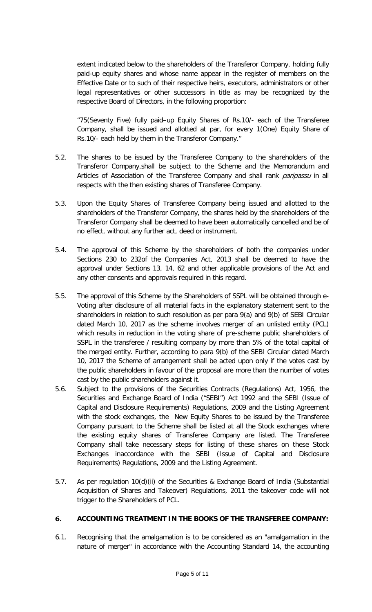extent indicated below to the shareholders of the Transferor Company, holding fully paid-up equity shares and whose name appear in the register of members on the Effective Date or to such of their respective heirs, executors, administrators or other legal representatives or other successors in title as may be recognized by the respective Board of Directors, in the following proportion:

"75(Seventy Five) fully paid–up Equity Shares of Rs.10/- each of the Transferee Company, shall be issued and allotted at par, for every 1(One) Equity Share of Rs.10/- each held by them in the Transferor Company."

- 5.2. The shares to be issued by the Transferee Company to the shareholders of the Transferor Company,shall be subject to the Scheme and the Memorandum and Articles of Association of the Transferee Company and shall rank *paripassu* in all respects with the then existing shares of Transferee Company.
- 5.3. Upon the Equity Shares of Transferee Company being issued and allotted to the shareholders of the Transferor Company, the shares held by the shareholders of the Transferor Company shall be deemed to have been automatically cancelled and be of no effect, without any further act, deed or instrument.
- 5.4. The approval of this Scheme by the shareholders of both the companies under Sections 230 to 232of the Companies Act, 2013 shall be deemed to have the approval under Sections 13, 14, 62 and other applicable provisions of the Act and any other consents and approvals required in this regard.
- 5.5. The approval of this Scheme by the Shareholders of SSPL will be obtained through e-Voting after disclosure of all material facts in the explanatory statement sent to the shareholders in relation to such resolution as per para 9(a) and 9(b) of SEBI Circular dated March 10, 2017 as the scheme involves merger of an unlisted entity (PCL) which results in reduction in the voting share of pre-scheme public shareholders of SSPL in the transferee / resulting company by more than 5% of the total capital of the merged entity. Further, according to para 9(b) of the SEBI Circular dated March 10, 2017 the Scheme of arrangement shall be acted upon only if the votes cast by the public shareholders in favour of the proposal are more than the number of votes cast by the public shareholders against it.
- 5.6. Subject to the provisions of the Securities Contracts (Regulations) Act, 1956, the Securities and Exchange Board of India ("SEBI") Act 1992 and the SEBI (Issue of Capital and Disclosure Requirements) Regulations, 2009 and the Listing Agreement with the stock exchanges, the New Equity Shares to be issued by the Transferee Company pursuant to the Scheme shall be listed at all the Stock exchanges where the existing equity shares of Transferee Company are listed. The Transferee Company shall take necessary steps for listing of these shares on these Stock Exchanges inaccordance with the SEBI (Issue of Capital and Disclosure Requirements) Regulations, 2009 and the Listing Agreement.
- 5.7. As per regulation 10(d)(ii) of the Securities & Exchange Board of India (Substantial Acquisition of Shares and Takeover) Regulations, 2011 the takeover code will not trigger to the Shareholders of PCL.

# **6. ACCOUNTING TREATMENT IN THE BOOKS OF THE TRANSFEREE COMPANY:**

6.1. Recognising that the amalgamation is to be considered as an "amalgamation in the nature of merger" in accordance with the Accounting Standard 14, the accounting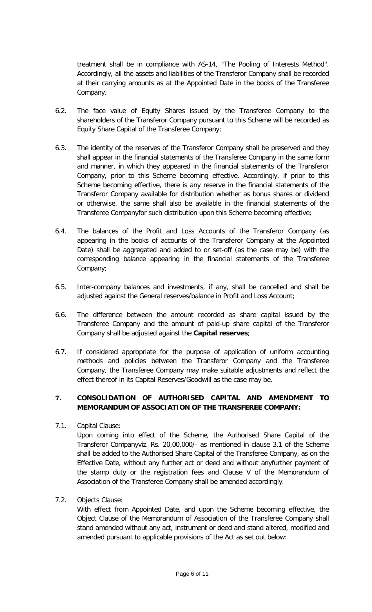treatment shall be in compliance with AS-14, "The Pooling of Interests Method". Accordingly, all the assets and liabilities of the Transferor Company shall be recorded at their carrying amounts as at the Appointed Date in the books of the Transferee Company.

- 6.2. The face value of Equity Shares issued by the Transferee Company to the shareholders of the Transferor Company pursuant to this Scheme will be recorded as Equity Share Capital of the Transferee Company;
- 6.3. The identity of the reserves of the Transferor Company shall be preserved and they shall appear in the financial statements of the Transferee Company in the same form and manner, in which they appeared in the financial statements of the Transferor Company, prior to this Scheme becoming effective. Accordingly, if prior to this Scheme becoming effective, there is any reserve in the financial statements of the Transferor Company available for distribution whether as bonus shares or dividend or otherwise, the same shall also be available in the financial statements of the Transferee Companyfor such distribution upon this Scheme becoming effective;
- 6.4. The balances of the Profit and Loss Accounts of the Transferor Company (as appearing in the books of accounts of the Transferor Company at the Appointed Date) shall be aggregated and added to or set-off (as the case may be) with the corresponding balance appearing in the financial statements of the Transferee Company;
- 6.5. Inter-company balances and investments, if any, shall be cancelled and shall be adjusted against the General reserves/balance in Profit and Loss Account;
- 6.6. The difference between the amount recorded as share capital issued by the Transferee Company and the amount of paid-up share capital of the Transferor Company shall be adjusted against the **Capital reserves**;
- 6.7. If considered appropriate for the purpose of application of uniform accounting methods and policies between the Transferor Company and the Transferee Company, the Transferee Company may make suitable adjustments and reflect the effect thereof in its Capital Reserves/Goodwill as the case may be.

# **7. CONSOLIDATION OF AUTHORISED CAPITAL AND AMENDMENT TO MEMORANDUM OF ASSOCIATION OF THE TRANSFEREE COMPANY:**

7.1. Capital Clause:

Upon coming into effect of the Scheme, the Authorised Share Capital of the Transferor Companyviz. Rs. 20,00,000/- as mentioned in clause 3.1 of the Scheme shall be added to the Authorised Share Capital of the Transferee Company, as on the Effective Date, without any further act or deed and without anyfurther payment of the stamp duty or the registration fees and Clause V of the Memorandum of Association of the Transferee Company shall be amended accordingly.

7.2. Objects Clause:

With effect from Appointed Date, and upon the Scheme becoming effective, the Object Clause of the Memorandum of Association of the Transferee Company shall stand amended without any act, instrument or deed and stand altered, modified and amended pursuant to applicable provisions of the Act as set out below: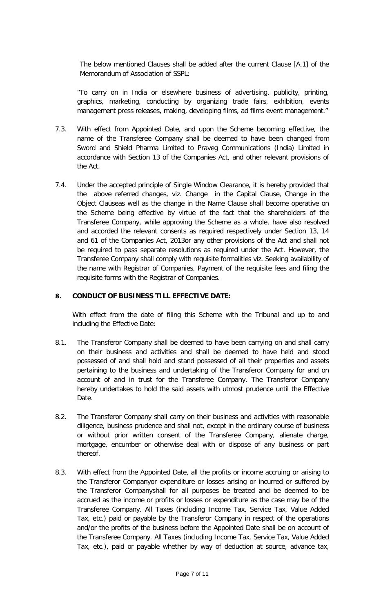The below mentioned Clauses shall be added after the current Clause [A.1] of the Memorandum of Association of SSPL:

"To carry on in India or elsewhere business of advertising, publicity, printing, graphics, marketing, conducting by organizing trade fairs, exhibition, events management press releases, making, developing films, ad films event management."

- 7.3. With effect from Appointed Date, and upon the Scheme becoming effective, the name of the Transferee Company shall be deemed to have been changed from Sword and Shield Pharma Limited to Praveg Communications (India) Limited in accordance with Section 13 of the Companies Act, and other relevant provisions of the Act.
- 7.4. Under the accepted principle of Single Window Clearance, it is hereby provided that the above referred changes, viz. Change in the Capital Clause, Change in the Object Clauseas well as the change in the Name Clause shall become operative on the Scheme being effective by virtue of the fact that the shareholders of the Transferee Company, while approving the Scheme as a whole, have also resolved and accorded the relevant consents as required respectively under Section 13, 14 and 61 of the Companies Act, 2013or any other provisions of the Act and shall not be required to pass separate resolutions as required under the Act. However, the Transferee Company shall comply with requisite formalities viz. Seeking availability of the name with Registrar of Companies, Payment of the requisite fees and filing the requisite forms with the Registrar of Companies.

#### **8. CONDUCT OF BUSINESS TILL EFFECTIVE DATE:**

With effect from the date of filing this Scheme with the Tribunal and up to and including the Effective Date:

- 8.1. The Transferor Company shall be deemed to have been carrying on and shall carry on their business and activities and shall be deemed to have held and stood possessed of and shall hold and stand possessed of all their properties and assets pertaining to the business and undertaking of the Transferor Company for and on account of and in trust for the Transferee Company. The Transferor Company hereby undertakes to hold the said assets with utmost prudence until the Effective Date.
- 8.2. The Transferor Company shall carry on their business and activities with reasonable diligence, business prudence and shall not, except in the ordinary course of business or without prior written consent of the Transferee Company, alienate charge, mortgage, encumber or otherwise deal with or dispose of any business or part thereof.
- 8.3. With effect from the Appointed Date, all the profits or income accruing or arising to the Transferor Companyor expenditure or losses arising or incurred or suffered by the Transferor Companyshall for all purposes be treated and be deemed to be accrued as the income or profits or losses or expenditure as the case may be of the Transferee Company. All Taxes (including Income Tax, Service Tax, Value Added Tax, etc.) paid or payable by the Transferor Company in respect of the operations and/or the profits of the business before the Appointed Date shall be on account of the Transferee Company. All Taxes (including Income Tax, Service Tax, Value Added Tax, etc.), paid or payable whether by way of deduction at source, advance tax,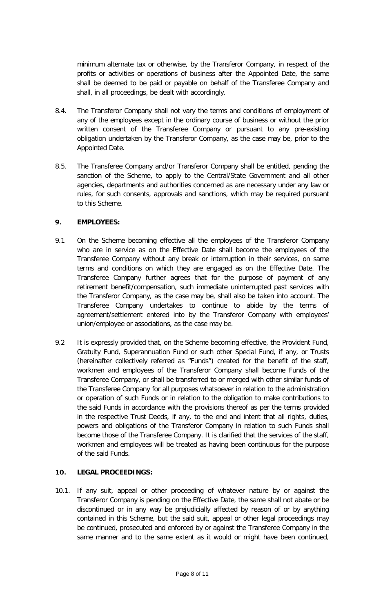minimum alternate tax or otherwise, by the Transferor Company, in respect of the profits or activities or operations of business after the Appointed Date, the same shall be deemed to be paid or payable on behalf of the Transferee Company and shall, in all proceedings, be dealt with accordingly.

- 8.4. The Transferor Company shall not vary the terms and conditions of employment of any of the employees except in the ordinary course of business or without the prior written consent of the Transferee Company or pursuant to any pre-existing obligation undertaken by the Transferor Company, as the case may be, prior to the Appointed Date.
- 8.5. The Transferee Company and/or Transferor Company shall be entitled, pending the sanction of the Scheme, to apply to the Central/State Government and all other agencies, departments and authorities concerned as are necessary under any law or rules, for such consents, approvals and sanctions, which may be required pursuant to this Scheme.

# **9. EMPLOYEES:**

- 9.1 On the Scheme becoming effective all the employees of the Transferor Company who are in service as on the Effective Date shall become the employees of the Transferee Company without any break or interruption in their services, on same terms and conditions on which they are engaged as on the Effective Date. The Transferee Company further agrees that for the purpose of payment of any retirement benefit/compensation, such immediate uninterrupted past services with the Transferor Company, as the case may be, shall also be taken into account. The Transferee Company undertakes to continue to abide by the terms of agreement/settlement entered into by the Transferor Company with employees' union/employee or associations, as the case may be.
- 9.2 It is expressly provided that, on the Scheme becoming effective, the Provident Fund, Gratuity Fund, Superannuation Fund or such other Special Fund, if any, or Trusts (hereinafter collectively referred as "Funds") created for the benefit of the staff, workmen and employees of the Transferor Company shall become Funds of the Transferee Company, or shall be transferred to or merged with other similar funds of the Transferee Company for all purposes whatsoever in relation to the administration or operation of such Funds or in relation to the obligation to make contributions to the said Funds in accordance with the provisions thereof as per the terms provided in the respective Trust Deeds, if any, to the end and intent that all rights, duties, powers and obligations of the Transferor Company in relation to such Funds shall become those of the Transferee Company. It is clarified that the services of the staff, workmen and employees will be treated as having been continuous for the purpose of the said Funds.

# **10. LEGAL PROCEEDINGS:**

10.1. If any suit, appeal or other proceeding of whatever nature by or against the Transferor Company is pending on the Effective Date, the same shall not abate or be discontinued or in any way be prejudicially affected by reason of or by anything contained in this Scheme, but the said suit, appeal or other legal proceedings may be continued, prosecuted and enforced by or against the Transferee Company in the same manner and to the same extent as it would or might have been continued,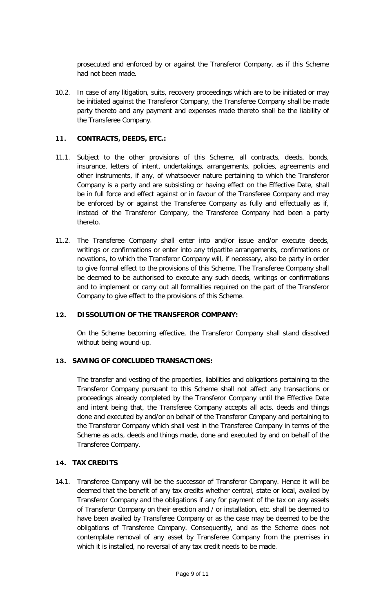prosecuted and enforced by or against the Transferor Company, as if this Scheme had not been made.

10.2. In case of any litigation, suits, recovery proceedings which are to be initiated or may be initiated against the Transferor Company, the Transferee Company shall be made party thereto and any payment and expenses made thereto shall be the liability of the Transferee Company.

# **11. CONTRACTS, DEEDS, ETC.:**

- 11.1. Subject to the other provisions of this Scheme, all contracts, deeds, bonds, insurance, letters of intent, undertakings, arrangements, policies, agreements and other instruments, if any, of whatsoever nature pertaining to which the Transferor Company is a party and are subsisting or having effect on the Effective Date, shall be in full force and effect against or in favour of the Transferee Company and may be enforced by or against the Transferee Company as fully and effectually as if, instead of the Transferor Company, the Transferee Company had been a party thereto.
- 11.2. The Transferee Company shall enter into and/or issue and/or execute deeds, writings or confirmations or enter into any tripartite arrangements, confirmations or novations, to which the Transferor Company will, if necessary, also be party in order to give formal effect to the provisions of this Scheme. The Transferee Company shall be deemed to be authorised to execute any such deeds, writings or confirmations and to implement or carry out all formalities required on the part of the Transferor Company to give effect to the provisions of this Scheme.

# **12. DISSOLUTION OF THE TRANSFEROR COMPANY:**

On the Scheme becoming effective, the Transferor Company shall stand dissolved without being wound-up.

#### **13. SAVING OF CONCLUDED TRANSACTIONS:**

The transfer and vesting of the properties, liabilities and obligations pertaining to the Transferor Company pursuant to this Scheme shall not affect any transactions or proceedings already completed by the Transferor Company until the Effective Date and intent being that, the Transferee Company accepts all acts, deeds and things done and executed by and/or on behalf of the Transferor Company and pertaining to the Transferor Company which shall vest in the Transferee Company in terms of the Scheme as acts, deeds and things made, done and executed by and on behalf of the Transferee Company.

#### **14. TAX CREDITS**

14.1. Transferee Company will be the successor of Transferor Company. Hence it will be deemed that the benefit of any tax credits whether central, state or local, availed by Transferor Company and the obligations if any for payment of the tax on any assets of Transferor Company on their erection and / or installation, etc. shall be deemed to have been availed by Transferee Company or as the case may be deemed to be the obligations of Transferee Company. Consequently, and as the Scheme does not contemplate removal of any asset by Transferee Company from the premises in which it is installed, no reversal of any tax credit needs to be made.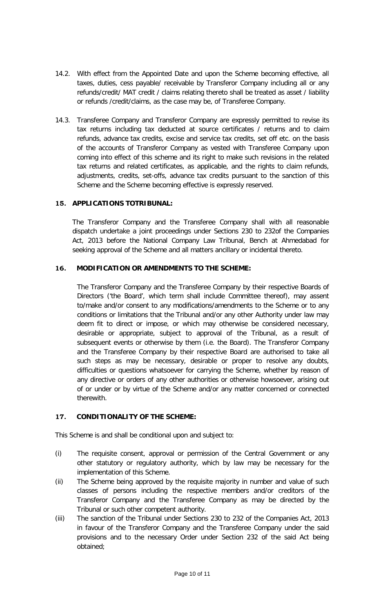- 14.2. With effect from the Appointed Date and upon the Scheme becoming effective, all taxes, duties, cess payable/ receivable by Transferor Company including all or any refunds/credit/ MAT credit / claims relating thereto shall be treated as asset / liability or refunds /credit/claims, as the case may be, of Transferee Company.
- 14.3. Transferee Company and Transferor Company are expressly permitted to revise its tax returns including tax deducted at source certificates / returns and to claim refunds, advance tax credits, excise and service tax credits, set off etc. on the basis of the accounts of Transferor Company as vested with Transferee Company upon coming into effect of this scheme and its right to make such revisions in the related tax returns and related certificates, as applicable, and the rights to claim refunds, adjustments, credits, set-offs, advance tax credits pursuant to the sanction of this Scheme and the Scheme becoming effective is expressly reserved.

# **15. APPLICATIONS TOTRIBUNAL:**

The Transferor Company and the Transferee Company shall with all reasonable dispatch undertake a joint proceedings under Sections 230 to 232of the Companies Act, 2013 before the National Company Law Tribunal, Bench at Ahmedabad for seeking approval of the Scheme and all matters ancillary or incidental thereto.

# **16. MODIFICATION OR AMENDMENTS TO THE SCHEME:**

The Transferor Company and the Transferee Company by their respective Boards of Directors ('the Board', which term shall include Committee thereof), may assent to/make and/or consent to any modifications/amendments to the Scheme or to any conditions or limitations that the Tribunal and/or any other Authority under law may deem fit to direct or impose, or which may otherwise be considered necessary, desirable or appropriate, subject to approval of the Tribunal, as a result of subsequent events or otherwise by them (i.e. the Board). The Transferor Company and the Transferee Company by their respective Board are authorised to take all such steps as may be necessary, desirable or proper to resolve any doubts, difficulties or questions whatsoever for carrying the Scheme, whether by reason of any directive or orders of any other authorities or otherwise howsoever, arising out of or under or by virtue of the Scheme and/or any matter concerned or connected therewith.

# **17. CONDITIONALITY OF THE SCHEME:**

This Scheme is and shall be conditional upon and subject to:

- (i) The requisite consent, approval or permission of the Central Government or any other statutory or regulatory authority, which by law may be necessary for the implementation of this Scheme.
- (ii) The Scheme being approved by the requisite majority in number and value of such classes of persons including the respective members and/or creditors of the Transferor Company and the Transferee Company as may be directed by the Tribunal or such other competent authority.
- (iii) The sanction of the Tribunal under Sections 230 to 232 of the Companies Act, 2013 in favour of the Transferor Company and the Transferee Company under the said provisions and to the necessary Order under Section 232 of the said Act being obtained;